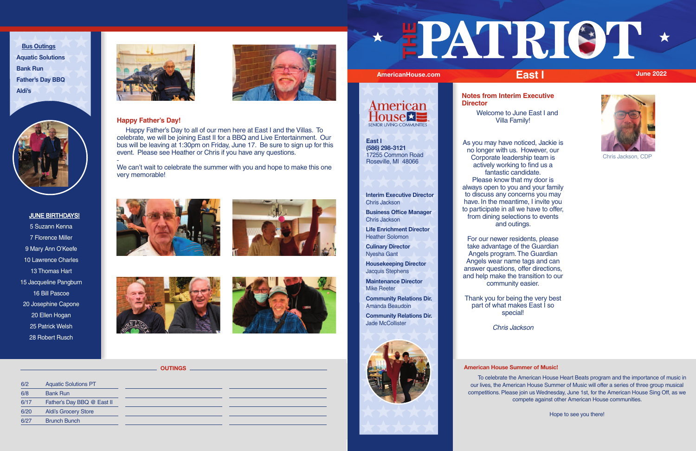# **Happy Father's Day!**

 Happy Father's Day to all of our men here at East I and the Villas. To celebrate, we will be joining East II for a BBQ and Live Entertainment. Our bus will be leaving at 1:30pm on Friday, June 17. Be sure to sign up for this event. Please see Heather or Chris if you have any questions.

We can't wait to celebrate the summer with you and hope to make this one very memorable!







# **Interim Executive Director** Chris Jackson

**Business Office Manager** Chris Jackson

**Life Enrichment Director** Heather Solomon

**Culinary Director** Nyesha Gant

**Housekeeping Director** Jacquis Stephens

**Maintenance Director** Mike Reeter

**Community Relations Dir.** Amanda Beaudoin

**Community Relations Dir.** Jade McCollister



5 Suzann Kenna 7 Florence Miller 9 Mary Ann O'Keefe 10 Lawrence Charles 13 Thomas Hart 15 Jacqueline Pangburn 16 Bill Pascoe 20 Josephine Capone 20 Ellen Hogan 25 Patrick Welsh 28 Robert Rusch





**Bus Outings Aquatic Solutions Bank Run Father's Day BBQ Aldi's**



# JUNE BIRTHDAYS!

# **American House Summer of Music!**

 To celebrate the American House Heart Beats program and the importance of music in our lives, the American House Summer of Music will offer a series of three group musical competitions. Please join us Wednesday, June 1st, for the American House Sing Off, as we compete against other American House communities.

Hope to see you there!

**Notes from Interim Executive Director** 

> Welcome to June East I and Villa Family!

As you may have noticed, Jackie is no longer with us. However, our Corporate leadership team is actively working to find us a fantastic candidate. Please know that my door is always open to you and your family to discuss any concerns you may have. In the meantime, I invite you to participate in all we have to offer, from dining selections to events and outings.

For our newer residents, please take advantage of the Guardian Angels program. The Guardian Angels wear name tags and can answer questions, offer directions, and help make the transition to our community easier.

Thank you for being the very best part of what makes East I so special!

Chris Jackson

| 6/2  | <b>Aquatic Solutions PT</b> |
|------|-----------------------------|
| 6/8  | <b>Bank Run</b>             |
| 6/17 | Father's Day BBQ @ East II  |
| 6/20 | <b>Aldi's Grocery Store</b> |
| 6/27 | <b>Brunch Bunch</b>         |
|      |                             |

# **THE**



**OUTINGS**



**East I (586) 298-3121** 17255 Common Road Roseville, MI 48066



Chris Jackson, CDP